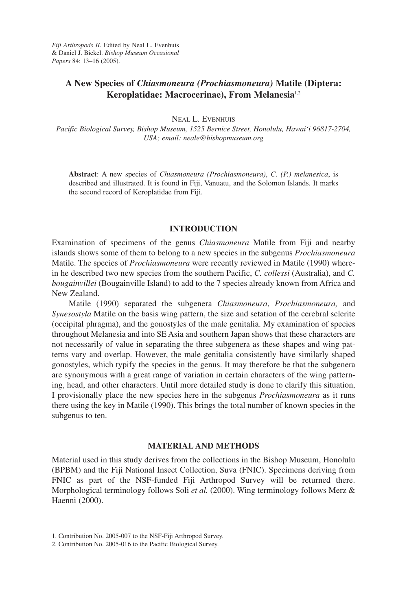# **A New Species of** *Chiasmoneura (Prochiasmoneura)* **Matile (Diptera: Keroplatidae: Macrocerinae), From Melanesia**1,2

NEAL L. EVENHUIS

*Pacific Biological Survey, Bishop Museum, 1525 Bernice Street, Honolulu, Hawai'i 96817-2704, USA; email: neale@bishopmuseum.org*

**Abstract**: A new species of *Chiasmoneura (Prochiasmoneura)*, *C*. *(P.) melanesica*, is described and illustrated. It is found in Fiji, Vanuatu, and the Solomon Islands. It marks the second record of Keroplatidae from Fiji.

### **INTRODUCTION**

Examination of specimens of the genus *Chiasmoneura* Matile from Fiji and nearby islands shows some of them to belong to a new species in the subgenus *Prochiasmoneura* Matile. The species of *Prochiasmoneura* were recently reviewed in Matile (1990) wherein he described two new species from the southern Pacific, *C. collessi* (Australia), and *C. bougainvillei* (Bougainville Island) to add to the 7 species already known from Africa and New Zealand.

Matile (1990) separated the subgenera *Chiasmoneura*, *Prochiasmoneura,* and *Synesostyla* Matile on the basis wing pattern, the size and setation of the cerebral sclerite (occipital phragma), and the gonostyles of the male genitalia. My examination of species throughout Melanesia and into SE Asia and southern Japan shows that these characters are not necessarily of value in separating the three subgenera as these shapes and wing patterns vary and overlap. However, the male genitalia consistently have similarly shaped gonostyles, which typify the species in the genus. It may therefore be that the subgenera are synonymous with a great range of variation in certain characters of the wing patterning, head, and other characters. Until more detailed study is done to clarify this situation, I provisionally place the new species here in the subgenus *Prochiasmoneura* as it runs there using the key in Matile (1990). This brings the total number of known species in the subgenus to ten.

### **MATERIAL AND METHODS**

Material used in this study derives from the collections in the Bishop Museum, Honolulu (BPBM) and the Fiji National Insect Collection, Suva (FNIC). Specimens deriving from FNIC as part of the NSF-funded Fiji Arthropod Survey will be returned there. Morphological terminology follows Soli *et al.* (2000). Wing terminology follows Merz & Haenni (2000).

<sup>1.</sup> Contribution No. 2005-007 to the NSF-Fiji Arthropod Survey.

<sup>2.</sup> Contribution No. 2005-016 to the Pacific Biological Survey.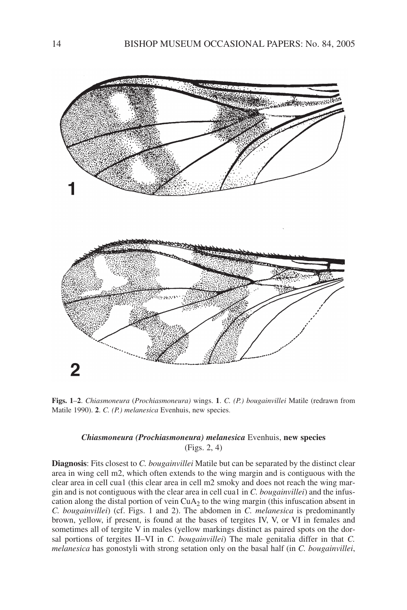

**Figs. 1**–**2**. *Chiasmoneura* (*Prochiasmoneura)* wings. **1**. *C. (P.) bougainvillei* Matile (redrawn from Matile 1990). **2**. *C. (P.) melanesica* Evenhuis, new species.

## *Chiasmoneura (Prochiasmoneura) melanesica* Evenhuis, **new species** (Figs. 2, 4)

**Diagnosis**: Fits closest to *C. bougainvillei* Matile but can be separated by the distinct clear area in wing cell m2, which often extends to the wing margin and is contiguous with the clear area in cell cua1 (this clear area in cell m2 smoky and does not reach the wing margin and is not contiguous with the clear area in cell cua1 in *C. bougainvillei*) and the infuscation along the distal portion of vein  $CuA<sub>2</sub>$  to the wing margin (this infuscation absent in *C. bougainvillei*) (cf. Figs. 1 and 2). The abdomen in *C. melanesica* is predominantly brown, yellow, if present, is found at the bases of tergites IV, V, or VI in females and sometimes all of tergite V in males (yellow markings distinct as paired spots on the dorsal portions of tergites II–VI in *C. bougainvillei*) The male genitalia differ in that *C. melanesica* has gonostyli with strong setation only on the basal half (in *C. bougainvillei*,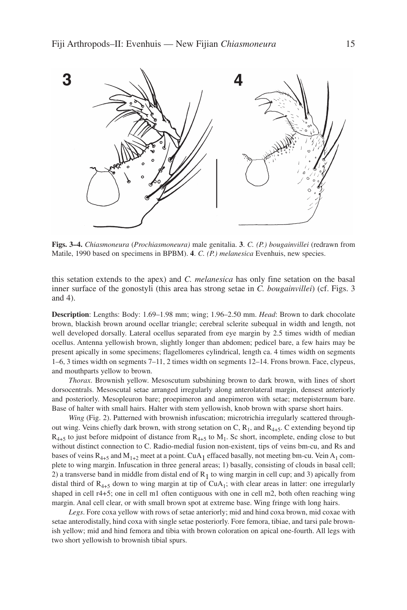

**Figs. 3–4.** *Chiasmoneura* (*Prochiasmoneura)* male genitalia. **3**. *C. (P.) bougainvillei* (redrawn from Matile, 1990 based on specimens in BPBM). **4**. *C. (P.) melanesica* Evenhuis, new species.

this setation extends to the apex) and *C. melanesica* has only fine setation on the basal inner surface of the gonostyli (this area has strong setae in *C. bougainvillei*) (cf. Figs. 3 and 4).

**Description**: Lengths: Body: 1.69–1.98 mm; wing; 1.96–2.50 mm. *Head*: Brown to dark chocolate brown, blackish brown around ocellar triangle; cerebral sclerite subequal in width and length, not well developed dorsally. Lateral ocellus separated from eye margin by 2.5 times width of median ocellus. Antenna yellowish brown, slightly longer than abdomen; pedicel bare, a few hairs may be present apically in some specimens; flagellomeres cylindrical, length ca. 4 times width on segments 1–6, 3 times width on segments 7–11, 2 times width on segments 12–14. Frons brown. Face, clypeus, and mouthparts yellow to brown.

*Thorax*. Brownish yellow. Mesoscutum subshining brown to dark brown, with lines of short dorsocentrals. Mesoscutal setae arranged irregularly along anterolateral margin, densest anteriorly and posteriorly. Mesopleuron bare; proepimeron and anepimeron with setae; metepisternum bare. Base of halter with small hairs. Halter with stem yellowish, knob brown with sparse short hairs.

*Wing* (Fig. 2). Patterned with brownish infuscation; microtrichia irregularly scattered throughout wing. Veins chiefly dark brown, with strong setation on C,  $R_1$ , and  $R_{4+5}$ . C extending beyond tip  $R_{4+5}$  to just before midpoint of distance from  $R_{4+5}$  to  $M_1$ . Sc short, incomplete, ending close to but without distinct connection to C. Radio-medial fusion non-existent, tips of veins bm-cu, and Rs and bases of veins  $R_{4+5}$  and  $M_{1+2}$  meet at a point. CuA<sub>1</sub> effaced basally, not meeting bm-cu. Vein A<sub>1</sub> complete to wing margin. Infuscation in three general areas; 1) basally, consisting of clouds in basal cell; 2) a transverse band in middle from distal end of  $R_1$  to wing margin in cell cup; and 3) apically from distal third of  $R_{4+5}$  down to wing margin at tip of CuA<sub>1</sub>; with clear areas in latter: one irregularly shaped in cell r4+5; one in cell m1 often contiguous with one in cell m2, both often reaching wing margin. Anal cell clear, or with small brown spot at extreme base. Wing fringe with long hairs.

*Legs*. Fore coxa yellow with rows of setae anteriorly; mid and hind coxa brown, mid coxae with setae anterodistally, hind coxa with single setae posteriorly. Fore femora, tibiae, and tarsi pale brownish yellow; mid and hind femora and tibia with brown coloration on apical one-fourth. All legs with two short yellowish to brownish tibial spurs.